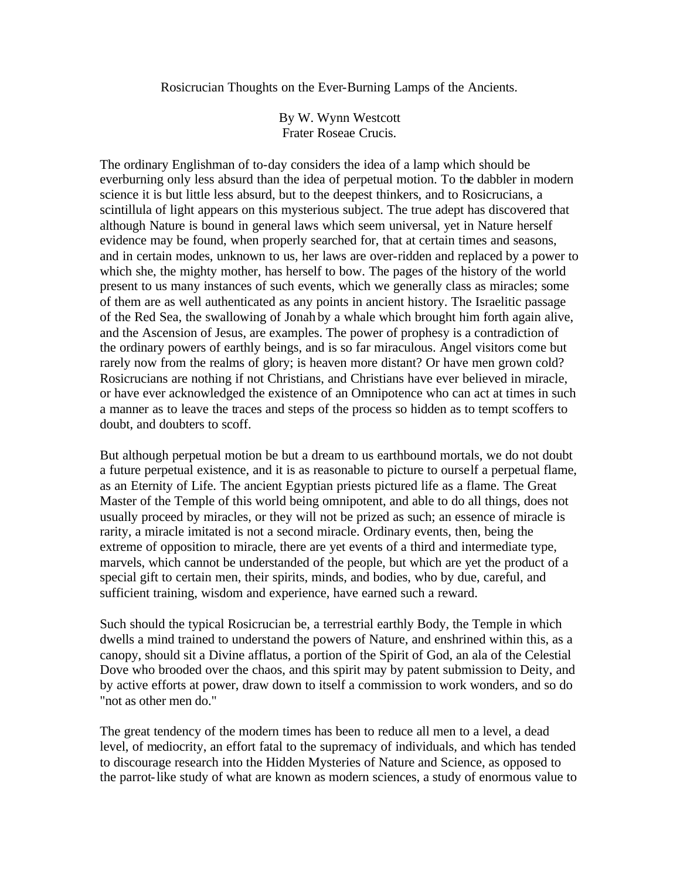Rosicrucian Thoughts on the Ever-Burning Lamps of the Ancients.

By W. Wynn Westcott Frater Roseae Crucis.

The ordinary Englishman of to-day considers the idea of a lamp which should be everburning only less absurd than the idea of perpetual motion. To the dabbler in modern science it is but little less absurd, but to the deepest thinkers, and to Rosicrucians, a scintillula of light appears on this mysterious subject. The true adept has discovered that although Nature is bound in general laws which seem universal, yet in Nature herself evidence may be found, when properly searched for, that at certain times and seasons, and in certain modes, unknown to us, her laws are over-ridden and replaced by a power to which she, the mighty mother, has herself to bow. The pages of the history of the world present to us many instances of such events, which we generally class as miracles; some of them are as well authenticated as any points in ancient history. The Israelitic passage of the Red Sea, the swallowing of Jonah by a whale which brought him forth again alive, and the Ascension of Jesus, are examples. The power of prophesy is a contradiction of the ordinary powers of earthly beings, and is so far miraculous. Angel visitors come but rarely now from the realms of glory; is heaven more distant? Or have men grown cold? Rosicrucians are nothing if not Christians, and Christians have ever believed in miracle, or have ever acknowledged the existence of an Omnipotence who can act at times in such a manner as to leave the traces and steps of the process so hidden as to tempt scoffers to doubt, and doubters to scoff.

But although perpetual motion be but a dream to us earthbound mortals, we do not doubt a future perpetual existence, and it is as reasonable to picture to ourself a perpetual flame, as an Eternity of Life. The ancient Egyptian priests pictured life as a flame. The Great Master of the Temple of this world being omnipotent, and able to do all things, does not usually proceed by miracles, or they will not be prized as such; an essence of miracle is rarity, a miracle imitated is not a second miracle. Ordinary events, then, being the extreme of opposition to miracle, there are yet events of a third and intermediate type, marvels, which cannot be understanded of the people, but which are yet the product of a special gift to certain men, their spirits, minds, and bodies, who by due, careful, and sufficient training, wisdom and experience, have earned such a reward.

Such should the typical Rosicrucian be, a terrestrial earthly Body, the Temple in which dwells a mind trained to understand the powers of Nature, and enshrined within this, as a canopy, should sit a Divine afflatus, a portion of the Spirit of God, an ala of the Celestial Dove who brooded over the chaos, and this spirit may by patent submission to Deity, and by active efforts at power, draw down to itself a commission to work wonders, and so do "not as other men do."

The great tendency of the modern times has been to reduce all men to a level, a dead level, of mediocrity, an effort fatal to the supremacy of individuals, and which has tended to discourage research into the Hidden Mysteries of Nature and Science, as opposed to the parrot-like study of what are known as modern sciences, a study of enormous value to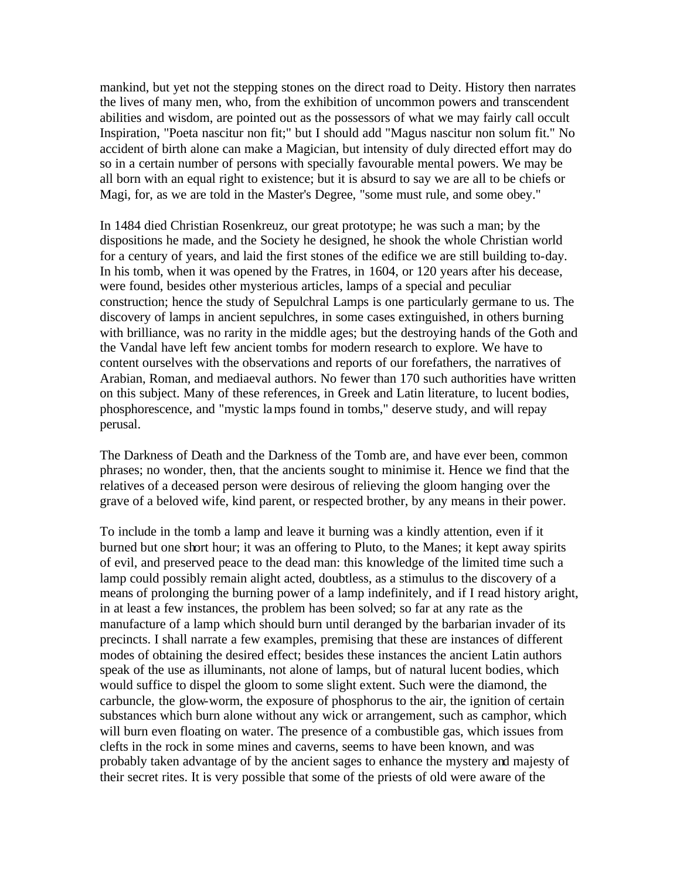mankind, but yet not the stepping stones on the direct road to Deity. History then narrates the lives of many men, who, from the exhibition of uncommon powers and transcendent abilities and wisdom, are pointed out as the possessors of what we may fairly call occult Inspiration, "Poeta nascitur non fit;" but I should add "Magus nascitur non solum fit." No accident of birth alone can make a Magician, but intensity of duly directed effort may do so in a certain number of persons with specially favourable mental powers. We may be all born with an equal right to existence; but it is absurd to say we are all to be chiefs or Magi, for, as we are told in the Master's Degree, "some must rule, and some obey."

In 1484 died Christian Rosenkreuz, our great prototype; he was such a man; by the dispositions he made, and the Society he designed, he shook the whole Christian world for a century of years, and laid the first stones of the edifice we are still building to-day. In his tomb, when it was opened by the Fratres, in 1604, or 120 years after his decease, were found, besides other mysterious articles, lamps of a special and peculiar construction; hence the study of Sepulchral Lamps is one particularly germane to us. The discovery of lamps in ancient sepulchres, in some cases extinguished, in others burning with brilliance, was no rarity in the middle ages; but the destroying hands of the Goth and the Vandal have left few ancient tombs for modern research to explore. We have to content ourselves with the observations and reports of our forefathers, the narratives of Arabian, Roman, and mediaeval authors. No fewer than 170 such authorities have written on this subject. Many of these references, in Greek and Latin literature, to lucent bodies, phosphorescence, and "mystic lamps found in tombs," deserve study, and will repay perusal.

The Darkness of Death and the Darkness of the Tomb are, and have ever been, common phrases; no wonder, then, that the ancients sought to minimise it. Hence we find that the relatives of a deceased person were desirous of relieving the gloom hanging over the grave of a beloved wife, kind parent, or respected brother, by any means in their power.

To include in the tomb a lamp and leave it burning was a kindly attention, even if it burned but one short hour; it was an offering to Pluto, to the Manes; it kept away spirits of evil, and preserved peace to the dead man: this knowledge of the limited time such a lamp could possibly remain alight acted, doubtless, as a stimulus to the discovery of a means of prolonging the burning power of a lamp indefinitely, and if I read history aright, in at least a few instances, the problem has been solved; so far at any rate as the manufacture of a lamp which should burn until deranged by the barbarian invader of its precincts. I shall narrate a few examples, premising that these are instances of different modes of obtaining the desired effect; besides these instances the ancient Latin authors speak of the use as illuminants, not alone of lamps, but of natural lucent bodies, which would suffice to dispel the gloom to some slight extent. Such were the diamond, the carbuncle, the glow-worm, the exposure of phosphorus to the air, the ignition of certain substances which burn alone without any wick or arrangement, such as camphor, which will burn even floating on water. The presence of a combustible gas, which issues from clefts in the rock in some mines and caverns, seems to have been known, and was probably taken advantage of by the ancient sages to enhance the mystery and majesty of their secret rites. It is very possible that some of the priests of old were aware of the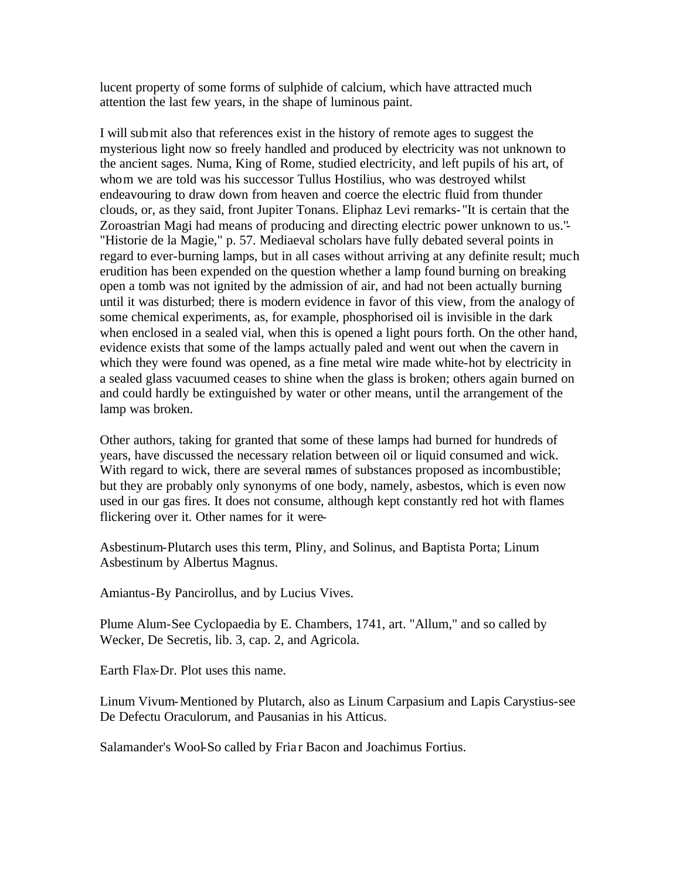lucent property of some forms of sulphide of calcium, which have attracted much attention the last few years, in the shape of luminous paint.

I will submit also that references exist in the history of remote ages to suggest the mysterious light now so freely handled and produced by electricity was not unknown to the ancient sages. Numa, King of Rome, studied electricity, and left pupils of his art, of whom we are told was his successor Tullus Hostilius, who was destroyed whilst endeavouring to draw down from heaven and coerce the electric fluid from thunder clouds, or, as they said, front Jupiter Tonans. Eliphaz Levi remarks- "It is certain that the Zoroastrian Magi had means of producing and directing electric power unknown to us."- "Historie de la Magie," p. 57. Mediaeval scholars have fully debated several points in regard to ever-burning lamps, but in all cases without arriving at any definite result; much erudition has been expended on the question whether a lamp found burning on breaking open a tomb was not ignited by the admission of air, and had not been actually burning until it was disturbed; there is modern evidence in favor of this view, from the analogy of some chemical experiments, as, for example, phosphorised oil is invisible in the dark when enclosed in a sealed vial, when this is opened a light pours forth. On the other hand, evidence exists that some of the lamps actually paled and went out when the cavern in which they were found was opened, as a fine metal wire made white-hot by electricity in a sealed glass vacuumed ceases to shine when the glass is broken; others again burned on and could hardly be extinguished by water or other means, until the arrangement of the lamp was broken.

Other authors, taking for granted that some of these lamps had burned for hundreds of years, have discussed the necessary relation between oil or liquid consumed and wick. With regard to wick, there are several names of substances proposed as incombustible; but they are probably only synonyms of one body, namely, asbestos, which is even now used in our gas fires. It does not consume, although kept constantly red hot with flames flickering over it. Other names for it were-

Asbestinum-Plutarch uses this term, Pliny, and Solinus, and Baptista Porta; Linum Asbestinum by Albertus Magnus.

Amiantus-By Pancirollus, and by Lucius Vives.

Plume Alum-See Cyclopaedia by E. Chambers, 1741, art. "Allum," and so called by Wecker, De Secretis, lib. 3, cap. 2, and Agricola.

Earth Flax-Dr. Plot uses this name.

Linum Vivum-Mentioned by Plutarch, also as Linum Carpasium and Lapis Carystius-see De Defectu Oraculorum, and Pausanias in his Atticus.

Salamander's Wool-So called by Friar Bacon and Joachimus Fortius.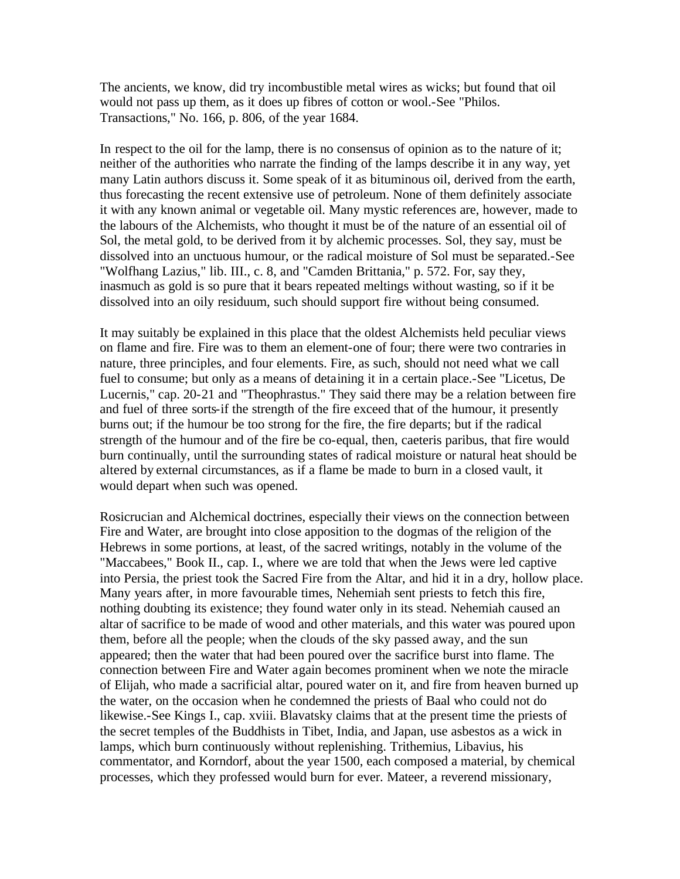The ancients, we know, did try incombustible metal wires as wicks; but found that oil would not pass up them, as it does up fibres of cotton or wool.-See "Philos. Transactions," No. 166, p. 806, of the year 1684.

In respect to the oil for the lamp, there is no consensus of opinion as to the nature of it; neither of the authorities who narrate the finding of the lamps describe it in any way, yet many Latin authors discuss it. Some speak of it as bituminous oil, derived from the earth, thus forecasting the recent extensive use of petroleum. None of them definitely associate it with any known animal or vegetable oil. Many mystic references are, however, made to the labours of the Alchemists, who thought it must be of the nature of an essential oil of Sol, the metal gold, to be derived from it by alchemic processes. Sol, they say, must be dissolved into an unctuous humour, or the radical moisture of Sol must be separated.-See "Wolfhang Lazius," lib. III., c. 8, and "Camden Brittania," p. 572. For, say they, inasmuch as gold is so pure that it bears repeated meltings without wasting, so if it be dissolved into an oily residuum, such should support fire without being consumed.

It may suitably be explained in this place that the oldest Alchemists held peculiar views on flame and fire. Fire was to them an element-one of four; there were two contraries in nature, three principles, and four elements. Fire, as such, should not need what we call fuel to consume; but only as a means of detaining it in a certain place.-See "Licetus, De Lucernis," cap. 20-21 and "Theophrastus." They said there may be a relation between fire and fuel of three sorts-if the strength of the fire exceed that of the humour, it presently burns out; if the humour be too strong for the fire, the fire departs; but if the radical strength of the humour and of the fire be co-equal, then, caeteris paribus, that fire would burn continually, until the surrounding states of radical moisture or natural heat should be altered by external circumstances, as if a flame be made to burn in a closed vault, it would depart when such was opened.

Rosicrucian and Alchemical doctrines, especially their views on the connection between Fire and Water, are brought into close apposition to the dogmas of the religion of the Hebrews in some portions, at least, of the sacred writings, notably in the volume of the "Maccabees," Book II., cap. I., where we are told that when the Jews were led captive into Persia, the priest took the Sacred Fire from the Altar, and hid it in a dry, hollow place. Many years after, in more favourable times, Nehemiah sent priests to fetch this fire, nothing doubting its existence; they found water only in its stead. Nehemiah caused an altar of sacrifice to be made of wood and other materials, and this water was poured upon them, before all the people; when the clouds of the sky passed away, and the sun appeared; then the water that had been poured over the sacrifice burst into flame. The connection between Fire and Water again becomes prominent when we note the miracle of Elijah, who made a sacrificial altar, poured water on it, and fire from heaven burned up the water, on the occasion when he condemned the priests of Baal who could not do likewise.-See Kings I., cap. xviii. Blavatsky claims that at the present time the priests of the secret temples of the Buddhists in Tibet, India, and Japan, use asbestos as a wick in lamps, which burn continuously without replenishing. Trithemius, Libavius, his commentator, and Korndorf, about the year 1500, each composed a material, by chemical processes, which they professed would burn for ever. Mateer, a reverend missionary,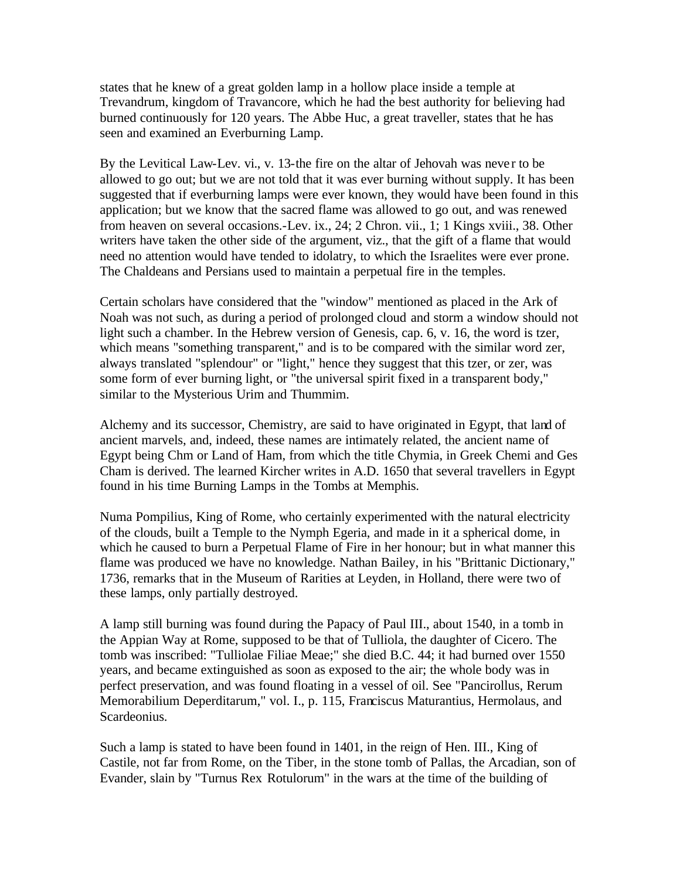states that he knew of a great golden lamp in a hollow place inside a temple at Trevandrum, kingdom of Travancore, which he had the best authority for believing had burned continuously for 120 years. The Abbe Huc, a great traveller, states that he has seen and examined an Everburning Lamp.

By the Levitical Law-Lev. vi., v. 13-the fire on the altar of Jehovah was never to be allowed to go out; but we are not told that it was ever burning without supply. It has been suggested that if everburning lamps were ever known, they would have been found in this application; but we know that the sacred flame was allowed to go out, and was renewed from heaven on several occasions.-Lev. ix., 24; 2 Chron. vii., 1; 1 Kings xviii., 38. Other writers have taken the other side of the argument, viz., that the gift of a flame that would need no attention would have tended to idolatry, to which the Israelites were ever prone. The Chaldeans and Persians used to maintain a perpetual fire in the temples.

Certain scholars have considered that the "window" mentioned as placed in the Ark of Noah was not such, as during a period of prolonged cloud and storm a window should not light such a chamber. In the Hebrew version of Genesis, cap. 6, v. 16, the word is tzer, which means "something transparent," and is to be compared with the similar word zer, always translated "splendour" or "light," hence they suggest that this tzer, or zer, was some form of ever burning light, or "the universal spirit fixed in a transparent body," similar to the Mysterious Urim and Thummim.

Alchemy and its successor, Chemistry, are said to have originated in Egypt, that land of ancient marvels, and, indeed, these names are intimately related, the ancient name of Egypt being Chm or Land of Ham, from which the title Chymia, in Greek Chemi and Ges Cham is derived. The learned Kircher writes in A.D. 1650 that several travellers in Egypt found in his time Burning Lamps in the Tombs at Memphis.

Numa Pompilius, King of Rome, who certainly experimented with the natural electricity of the clouds, built a Temple to the Nymph Egeria, and made in it a spherical dome, in which he caused to burn a Perpetual Flame of Fire in her honour; but in what manner this flame was produced we have no knowledge. Nathan Bailey, in his "Brittanic Dictionary," 1736, remarks that in the Museum of Rarities at Leyden, in Holland, there were two of these lamps, only partially destroyed.

A lamp still burning was found during the Papacy of Paul III., about 1540, in a tomb in the Appian Way at Rome, supposed to be that of Tulliola, the daughter of Cicero. The tomb was inscribed: "Tulliolae Filiae Meae;" she died B.C. 44; it had burned over 1550 years, and became extinguished as soon as exposed to the air; the whole body was in perfect preservation, and was found floating in a vessel of oil. See "Pancirollus, Rerum Memorabilium Deperditarum," vol. I., p. 115, Franciscus Maturantius, Hermolaus, and Scardeonius.

Such a lamp is stated to have been found in 1401, in the reign of Hen. III., King of Castile, not far from Rome, on the Tiber, in the stone tomb of Pallas, the Arcadian, son of Evander, slain by "Turnus Rex Rotulorum" in the wars at the time of the building of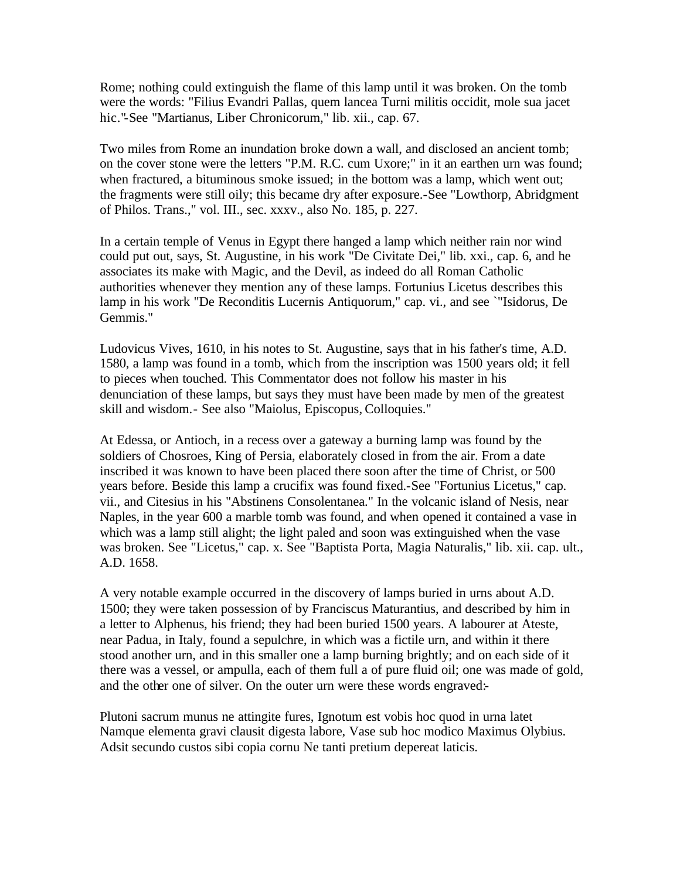Rome; nothing could extinguish the flame of this lamp until it was broken. On the tomb were the words: "Filius Evandri Pallas, quem lancea Turni militis occidit, mole sua jacet hic."-See "Martianus, Liber Chronicorum," lib. xii., cap. 67.

Two miles from Rome an inundation broke down a wall, and disclosed an ancient tomb; on the cover stone were the letters "P.M. R.C. cum Uxore;" in it an earthen urn was found; when fractured, a bituminous smoke issued; in the bottom was a lamp, which went out; the fragments were still oily; this became dry after exposure.-See "Lowthorp, Abridgment of Philos. Trans.," vol. III., sec. xxxv., also No. 185, p. 227.

In a certain temple of Venus in Egypt there hanged a lamp which neither rain nor wind could put out, says, St. Augustine, in his work "De Civitate Dei," lib. xxi., cap. 6, and he associates its make with Magic, and the Devil, as indeed do all Roman Catholic authorities whenever they mention any of these lamps. Fortunius Licetus describes this lamp in his work "De Reconditis Lucernis Antiquorum," cap. vi., and see `"Isidorus, De Gemmis."

Ludovicus Vives, 1610, in his notes to St. Augustine, says that in his father's time, A.D. 1580, a lamp was found in a tomb, which from the inscription was 1500 years old; it fell to pieces when touched. This Commentator does not follow his master in his denunciation of these lamps, but says they must have been made by men of the greatest skill and wisdom.- See also "Maiolus, Episcopus, Colloquies."

At Edessa, or Antioch, in a recess over a gateway a burning lamp was found by the soldiers of Chosroes, King of Persia, elaborately closed in from the air. From a date inscribed it was known to have been placed there soon after the time of Christ, or 500 years before. Beside this lamp a crucifix was found fixed.-See "Fortunius Licetus," cap. vii., and Citesius in his "Abstinens Consolentanea." In the volcanic island of Nesis, near Naples, in the year 600 a marble tomb was found, and when opened it contained a vase in which was a lamp still alight; the light paled and soon was extinguished when the vase was broken. See "Licetus," cap. x. See "Baptista Porta, Magia Naturalis," lib. xii. cap. ult., A.D. 1658.

A very notable example occurred in the discovery of lamps buried in urns about A.D. 1500; they were taken possession of by Franciscus Maturantius, and described by him in a letter to Alphenus, his friend; they had been buried 1500 years. A labourer at Ateste, near Padua, in Italy, found a sepulchre, in which was a fictile urn, and within it there stood another urn, and in this smaller one a lamp burning brightly; and on each side of it there was a vessel, or ampulla, each of them full a of pure fluid oil; one was made of gold, and the other one of silver. On the outer urn were these words engraved:-

Plutoni sacrum munus ne attingite fures, Ignotum est vobis hoc quod in urna latet Namque elementa gravi clausit digesta labore, Vase sub hoc modico Maximus Olybius. Adsit secundo custos sibi copia cornu Ne tanti pretium depereat laticis.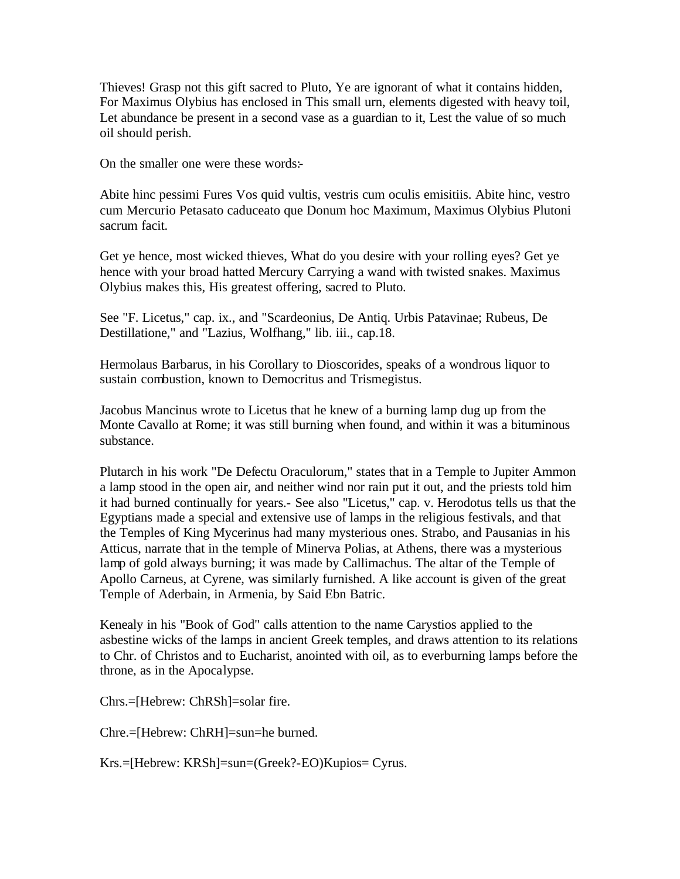Thieves! Grasp not this gift sacred to Pluto, Ye are ignorant of what it contains hidden, For Maximus Olybius has enclosed in This small urn, elements digested with heavy toil, Let abundance be present in a second vase as a guardian to it, Lest the value of so much oil should perish.

On the smaller one were these words:-

Abite hinc pessimi Fures Vos quid vultis, vestris cum oculis emisitiis. Abite hinc, vestro cum Mercurio Petasato caduceato que Donum hoc Maximum, Maximus Olybius Plutoni sacrum facit.

Get ye hence, most wicked thieves, What do you desire with your rolling eyes? Get ye hence with your broad hatted Mercury Carrying a wand with twisted snakes. Maximus Olybius makes this, His greatest offering, sacred to Pluto.

See "F. Licetus," cap. ix., and "Scardeonius, De Antiq. Urbis Patavinae; Rubeus, De Destillatione," and "Lazius, Wolfhang," lib. iii., cap.18.

Hermolaus Barbarus, in his Corollary to Dioscorides, speaks of a wondrous liquor to sustain combustion, known to Democritus and Trismegistus.

Jacobus Mancinus wrote to Licetus that he knew of a burning lamp dug up from the Monte Cavallo at Rome; it was still burning when found, and within it was a bituminous substance.

Plutarch in his work "De Defectu Oraculorum," states that in a Temple to Jupiter Ammon a lamp stood in the open air, and neither wind nor rain put it out, and the priests told him it had burned continually for years.- See also "Licetus," cap. v. Herodotus tells us that the Egyptians made a special and extensive use of lamps in the religious festivals, and that the Temples of King Mycerinus had many mysterious ones. Strabo, and Pausanias in his Atticus, narrate that in the temple of Minerva Polias, at Athens, there was a mysterious lamp of gold always burning; it was made by Callimachus. The altar of the Temple of Apollo Carneus, at Cyrene, was similarly furnished. A like account is given of the great Temple of Aderbain, in Armenia, by Said Ebn Batric.

Kenealy in his "Book of God" calls attention to the name Carystios applied to the asbestine wicks of the lamps in ancient Greek temples, and draws attention to its relations to Chr. of Christos and to Eucharist, anointed with oil, as to everburning lamps before the throne, as in the Apocalypse.

Chrs.=[Hebrew: ChRSh]=solar fire.

Chre.=[Hebrew: ChRH]=sun=he burned.

Krs.=[Hebrew: KRSh]=sun=(Greek?-EO)Kupios= Cyrus.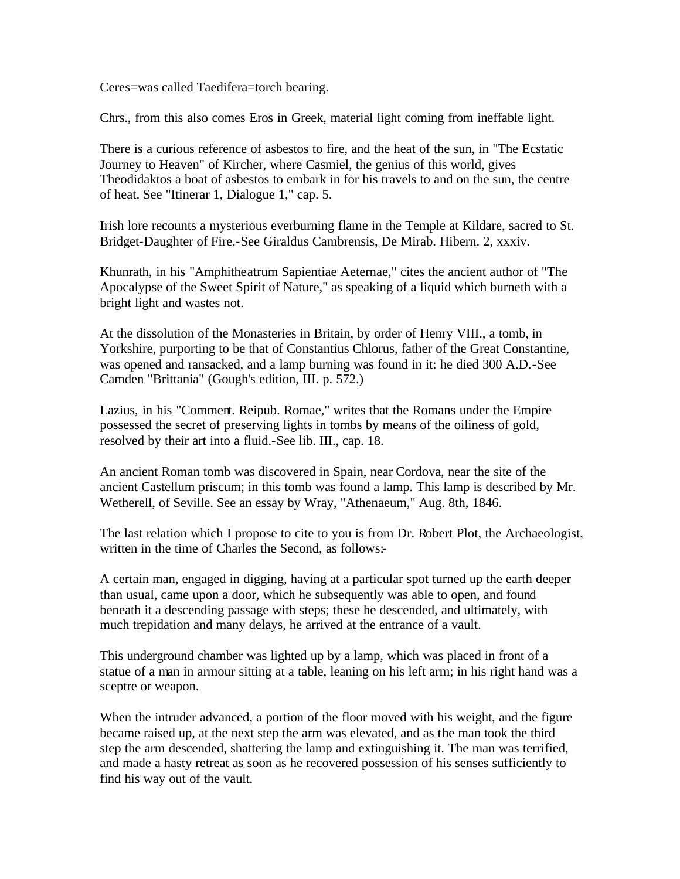Ceres=was called Taedifera=torch bearing.

Chrs., from this also comes Eros in Greek, material light coming from ineffable light.

There is a curious reference of asbestos to fire, and the heat of the sun, in "The Ecstatic Journey to Heaven" of Kircher, where Casmiel, the genius of this world, gives Theodidaktos a boat of asbestos to embark in for his travels to and on the sun, the centre of heat. See "Itinerar 1, Dialogue 1," cap. 5.

Irish lore recounts a mysterious everburning flame in the Temple at Kildare, sacred to St. Bridget-Daughter of Fire.-See Giraldus Cambrensis, De Mirab. Hibern. 2, xxxiv.

Khunrath, in his "Amphitheatrum Sapientiae Aeternae," cites the ancient author of "The Apocalypse of the Sweet Spirit of Nature," as speaking of a liquid which burneth with a bright light and wastes not.

At the dissolution of the Monasteries in Britain, by order of Henry VIII., a tomb, in Yorkshire, purporting to be that of Constantius Chlorus, father of the Great Constantine, was opened and ransacked, and a lamp burning was found in it: he died 300 A.D.-See Camden "Brittania" (Gough's edition, III. p. 572.)

Lazius, in his "Comment. Reipub. Romae," writes that the Romans under the Empire possessed the secret of preserving lights in tombs by means of the oiliness of gold, resolved by their art into a fluid.-See lib. III., cap. 18.

An ancient Roman tomb was discovered in Spain, near Cordova, near the site of the ancient Castellum priscum; in this tomb was found a lamp. This lamp is described by Mr. Wetherell, of Seville. See an essay by Wray, "Athenaeum," Aug. 8th, 1846.

The last relation which I propose to cite to you is from Dr. Robert Plot, the Archaeologist, written in the time of Charles the Second, as follows:-

A certain man, engaged in digging, having at a particular spot turned up the earth deeper than usual, came upon a door, which he subsequently was able to open, and found beneath it a descending passage with steps; these he descended, and ultimately, with much trepidation and many delays, he arrived at the entrance of a vault.

This underground chamber was lighted up by a lamp, which was placed in front of a statue of a man in armour sitting at a table, leaning on his left arm; in his right hand was a sceptre or weapon.

When the intruder advanced, a portion of the floor moved with his weight, and the figure became raised up, at the next step the arm was elevated, and as the man took the third step the arm descended, shattering the lamp and extinguishing it. The man was terrified, and made a hasty retreat as soon as he recovered possession of his senses sufficiently to find his way out of the vault.